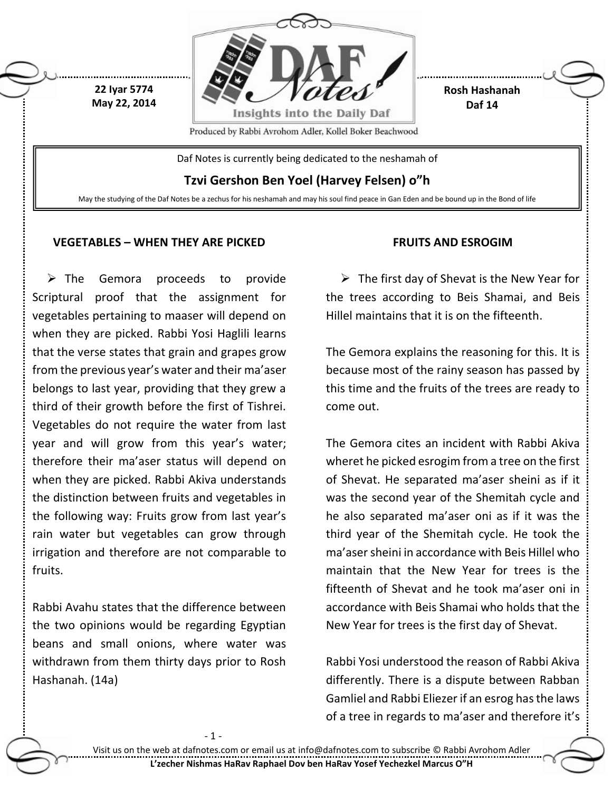

### **VEGETABLES – WHEN THEY ARE PICKED**

 $\triangleright$  The Gemora proceeds to provide Scriptural proof that the assignment for vegetables pertaining to maaser will depend on when they are picked. Rabbi Yosi Haglili learns that the verse states that grain and grapes grow from the previous year's water and their ma'aser belongs to last year, providing that they grew a third of their growth before the first of Tishrei. Vegetables do not require the water from last year and will grow from this year's water; therefore their ma'aser status will depend on when they are picked. Rabbi Akiva understands the distinction between fruits and vegetables in the following way: Fruits grow from last year's rain water but vegetables can grow through irrigation and therefore are not comparable to fruits.

Rabbi Avahu states that the difference between the two opinions would be regarding Egyptian beans and small onions, where water was withdrawn from them thirty days prior to Rosh Hashanah. (14a)

- 1

### **FRUITS AND ESROGIM**

 $\triangleright$  The first day of Shevat is the New Year for the trees according to Beis Shamai, and Beis Hillel maintains that it is on the fifteenth.

The Gemora explains the reasoning for this. It is because most of the rainy season has passed by this time and the fruits of the trees are ready to come out.

The Gemora cites an incident with Rabbi Akiva wheret he picked esrogim from a tree on the first of Shevat. He separated ma'aser sheini as if it was the second year of the Shemitah cycle and he also separated ma'aser oni as if it was the third year of the Shemitah cycle. He took the ma'asersheini in accordance with Beis Hillel who maintain that the New Year for trees is the fifteenth of Shevat and he took ma'aser oni in accordance with Beis Shamai who holds that the New Year for trees is the first day of Shevat.

Rabbi Yosi understood the reason of Rabbi Akiva differently. There is a dispute between Rabban Gamliel and Rabbi Eliezer if an esrog has the laws of a tree in regards to ma'aser and therefore it's

Visit us on the web at dafnotes.com or email us at [info@dafnotes.com](mailto:info@dafnotes.com) to subscribe © Rabbi Avrohom Adler **L'zecher Nishmas HaRav Raphael Dov ben HaRav Yosef Yechezkel Marcus O"H**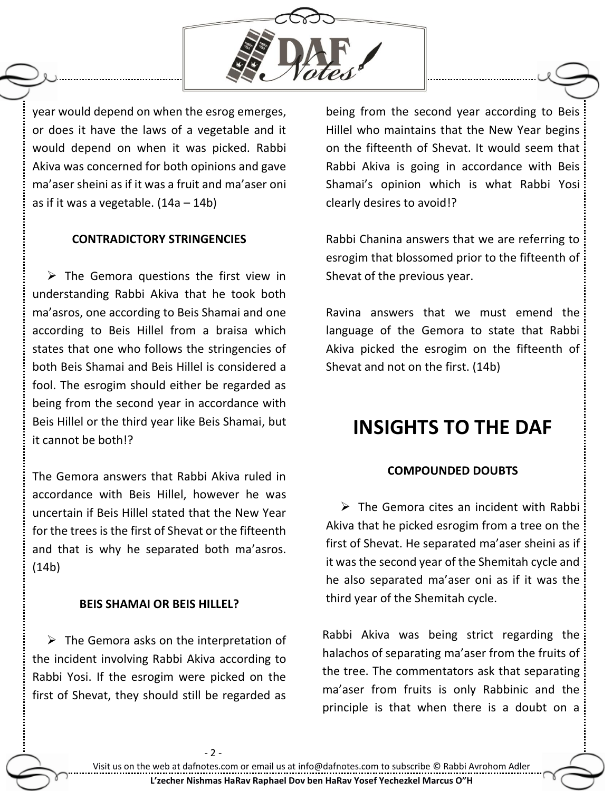

year would depend on when the esrog emerges, or does it have the laws of a vegetable and it would depend on when it was picked. Rabbi Akiva was concerned for both opinions and gave ma'aser sheini as if it was a fruit and ma'aser oni as if it was a vegetable.  $(14a - 14b)$ 

### **CONTRADICTORY STRINGENCIES**

 $\triangleright$  The Gemora questions the first view in understanding Rabbi Akiva that he took both ma'asros, one according to Beis Shamai and one according to Beis Hillel from a braisa which states that one who follows the stringencies of both Beis Shamai and Beis Hillel is considered a fool. The esrogim should either be regarded as being from the second year in accordance with Beis Hillel or the third year like Beis Shamai, but it cannot be both!?

The Gemora answers that Rabbi Akiva ruled in accordance with Beis Hillel, however he was uncertain if Beis Hillel stated that the New Year for the trees is the first of Shevat or the fifteenth and that is why he separated both ma'asros. (14b)

### **BEIS SHAMAI OR BEIS HILLEL?**

 $\triangleright$  The Gemora asks on the interpretation of the incident involving Rabbi Akiva according to Rabbi Yosi. If the esrogim were picked on the first of Shevat, they should still be regarded as

- 2 -

being from the second year according to Beis Hillel who maintains that the New Year begins on the fifteenth of Shevat. It would seem that Rabbi Akiva is going in accordance with Beis Shamai's opinion which is what Rabbi Yosi clearly desires to avoid!?

Rabbi Chanina answers that we are referring to esrogim that blossomed prior to the fifteenth of Shevat of the previous year.

Ravina answers that we must emend the language of the Gemora to state that Rabbi Akiva picked the esrogim on the fifteenth of Shevat and not on the first. (14b)

# **INSIGHTS TO THE DAF**

#### **COMPOUNDED DOUBTS**

 $\triangleright$  The Gemora cites an incident with Rabbi Akiva that he picked esrogim from a tree on the first of Shevat. He separated ma'aser sheini as if it was the second year of the Shemitah cycle and he also separated ma'aser oni as if it was the third year of the Shemitah cycle.

Rabbi Akiva was being strict regarding the halachos of separating ma'aser from the fruits of the tree. The commentators ask that separating ma'aser from fruits is only Rabbinic and the principle is that when there is a doubt on a